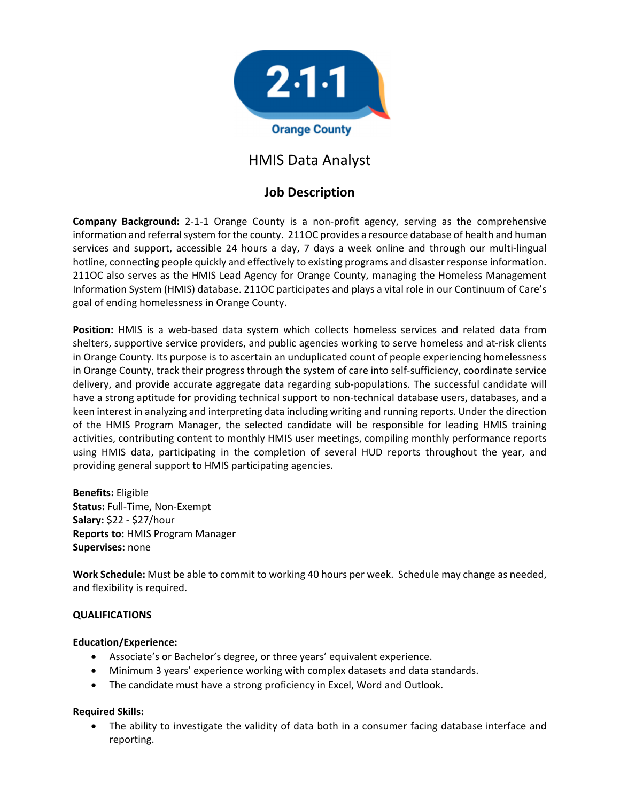

# HMIS Data Analyst

## **Job Description**

**Company Background:** 2‐1‐1 Orange County is a non‐profit agency, serving as the comprehensive information and referral system for the county. 211OC provides a resource database of health and human services and support, accessible 24 hours a day, 7 days a week online and through our multi‐lingual hotline, connecting people quickly and effectively to existing programs and disaster response information. 211OC also serves as the HMIS Lead Agency for Orange County, managing the Homeless Management Information System (HMIS) database. 211OC participates and plays a vital role in our Continuum of Care's goal of ending homelessness in Orange County.

**Position:** HMIS is a web-based data system which collects homeless services and related data from shelters, supportive service providers, and public agencies working to serve homeless and at-risk clients in Orange County. Its purpose is to ascertain an unduplicated count of people experiencing homelessness in Orange County, track their progress through the system of care into self‐sufficiency, coordinate service delivery, and provide accurate aggregate data regarding sub‐populations. The successful candidate will have a strong aptitude for providing technical support to non-technical database users, databases, and a keen interest in analyzing and interpreting data including writing and running reports. Under the direction of the HMIS Program Manager, the selected candidate will be responsible for leading HMIS training activities, contributing content to monthly HMIS user meetings, compiling monthly performance reports using HMIS data, participating in the completion of several HUD reports throughout the year, and providing general support to HMIS participating agencies.

**Benefits:** Eligible **Status:** Full‐Time, Non‐Exempt **Salary:** \$22 ‐ \$27/hour **Reports to:** HMIS Program Manager **Supervises:** none

**Work Schedule:** Must be able to commit to working 40 hours per week. Schedule may change as needed, and flexibility is required.

#### **QUALIFICATIONS**

#### **Education/Experience:**

- Associate's or Bachelor's degree, or three years' equivalent experience.
- Minimum 3 years' experience working with complex datasets and data standards.
- The candidate must have a strong proficiency in Excel, Word and Outlook.

#### **Required Skills:**

 The ability to investigate the validity of data both in a consumer facing database interface and reporting.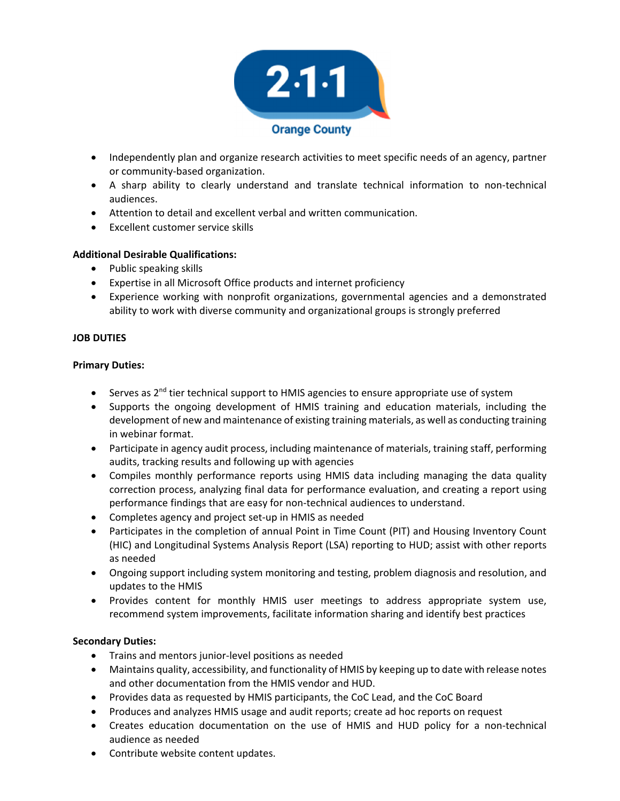

- Independently plan and organize research activities to meet specific needs of an agency, partner or community‐based organization.
- A sharp ability to clearly understand and translate technical information to non‐technical audiences.
- Attention to detail and excellent verbal and written communication.
- Excellent customer service skills

### **Additional Desirable Qualifications:**

- Public speaking skills
- Expertise in all Microsoft Office products and internet proficiency
- Experience working with nonprofit organizations, governmental agencies and a demonstrated ability to work with diverse community and organizational groups is strongly preferred

#### **JOB DUTIES**

#### **Primary Duties:**

- Serves as 2<sup>nd</sup> tier technical support to HMIS agencies to ensure appropriate use of system
- Supports the ongoing development of HMIS training and education materials, including the development of new and maintenance of existing training materials, as well as conducting training in webinar format.
- Participate in agency audit process, including maintenance of materials, training staff, performing audits, tracking results and following up with agencies
- Compiles monthly performance reports using HMIS data including managing the data quality correction process, analyzing final data for performance evaluation, and creating a report using performance findings that are easy for non‐technical audiences to understand.
- Completes agency and project set-up in HMIS as needed
- Participates in the completion of annual Point in Time Count (PIT) and Housing Inventory Count (HIC) and Longitudinal Systems Analysis Report (LSA) reporting to HUD; assist with other reports as needed
- Ongoing support including system monitoring and testing, problem diagnosis and resolution, and updates to the HMIS
- Provides content for monthly HMIS user meetings to address appropriate system use, recommend system improvements, facilitate information sharing and identify best practices

#### **Secondary Duties:**

- Trains and mentors junior-level positions as needed
- Maintains quality, accessibility, and functionality of HMIS by keeping up to date with release notes and other documentation from the HMIS vendor and HUD.
- Provides data as requested by HMIS participants, the CoC Lead, and the CoC Board
- Produces and analyzes HMIS usage and audit reports; create ad hoc reports on request
- Creates education documentation on the use of HMIS and HUD policy for a non-technical audience as needed
- Contribute website content updates.